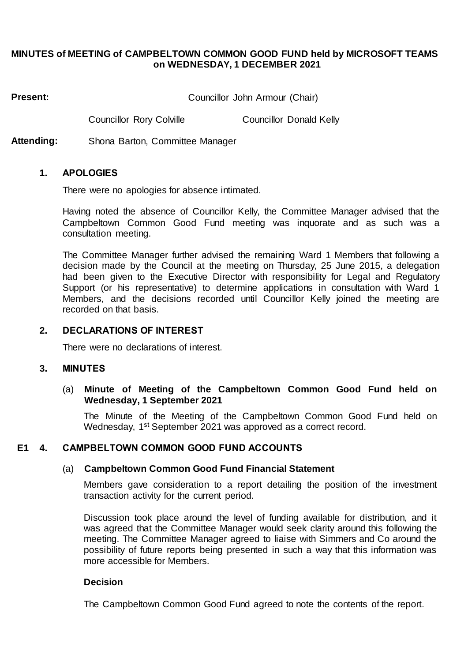### **MINUTES of MEETING of CAMPBELTOWN COMMON GOOD FUND held by MICROSOFT TEAMS on WEDNESDAY, 1 DECEMBER 2021**

**Present:** Councillor John Armour (Chair)

Councillor Rory Colville Councillor Donald Kelly

**Attending:** Shona Barton, Committee Manager

### **1. APOLOGIES**

There were no apologies for absence intimated.

Having noted the absence of Councillor Kelly, the Committee Manager advised that the Campbeltown Common Good Fund meeting was inquorate and as such was a consultation meeting.

The Committee Manager further advised the remaining Ward 1 Members that following a decision made by the Council at the meeting on Thursday, 25 June 2015, a delegation had been given to the Executive Director with responsibility for Legal and Regulatory Support (or his representative) to determine applications in consultation with Ward 1 Members, and the decisions recorded until Councillor Kelly joined the meeting are recorded on that basis.

### **2. DECLARATIONS OF INTEREST**

There were no declarations of interest.

#### **3. MINUTES**

## (a) **Minute of Meeting of the Campbeltown Common Good Fund held on Wednesday, 1 September 2021**

The Minute of the Meeting of the Campbeltown Common Good Fund held on Wednesday, 1<sup>st</sup> September 2021 was approved as a correct record.

## **E1 4. CAMPBELTOWN COMMON GOOD FUND ACCOUNTS**

#### (a) **Campbeltown Common Good Fund Financial Statement**

Members gave consideration to a report detailing the position of the investment transaction activity for the current period.

Discussion took place around the level of funding available for distribution, and it was agreed that the Committee Manager would seek clarity around this following the meeting. The Committee Manager agreed to liaise with Simmers and Co around the possibility of future reports being presented in such a way that this information was more accessible for Members.

### **Decision**

The Campbeltown Common Good Fund agreed to note the contents of the report.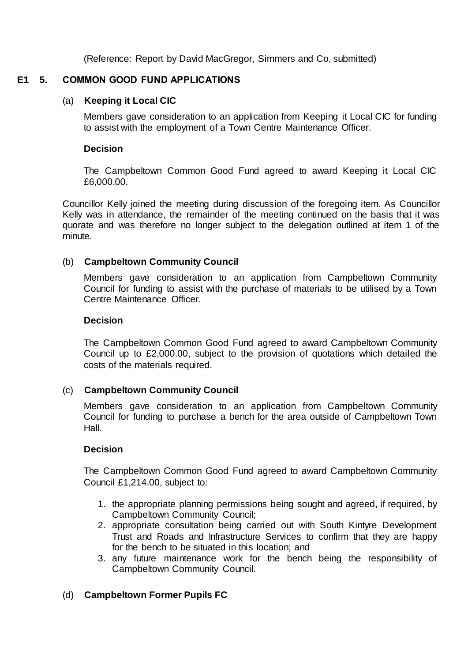(Reference: Report by David MacGregor, Simmers and Co, submitted)

# **E1 5. COMMON GOOD FUND APPLICATIONS**

# (a) **Keeping it Local CIC**

Members gave consideration to an application from Keeping it Local CIC for funding to assist with the employment of a Town Centre Maintenance Officer.

## **Decision**

The Campbeltown Common Good Fund agreed to award Keeping it Local CIC £6,000.00.

Councillor Kelly joined the meeting during discussion of the foregoing item. As Councillor Kelly was in attendance, the remainder of the meeting continued on the basis that it was quorate and was therefore no longer subject to the delegation outlined at item 1 of the minute.

# (b) **Campbeltown Community Council**

Members gave consideration to an application from Campbeltown Community Council for funding to assist with the purchase of materials to be utilised by a Town Centre Maintenance Officer.

## **Decision**

The Campbeltown Common Good Fund agreed to award Campbeltown Community Council up to £2,000.00, subject to the provision of quotations which detailed the costs of the materials required.

# (c) **Campbeltown Community Council**

Members gave consideration to an application from Campbeltown Community Council for funding to purchase a bench for the area outside of Campbeltown Town Hall.

## **Decision**

The Campbeltown Common Good Fund agreed to award Campbeltown Community Council £1,214.00, subject to:

- 1. the appropriate planning permissions being sought and agreed, if required, by Campbeltown Community Council;
- 2. appropriate consultation being carried out with South Kintyre Development Trust and Roads and Infrastructure Services to confirm that they are happy for the bench to be situated in this location; and
- 3. any future maintenance work for the bench being the responsibility of Campbeltown Community Council.

# (d) **Campbeltown Former Pupils FC**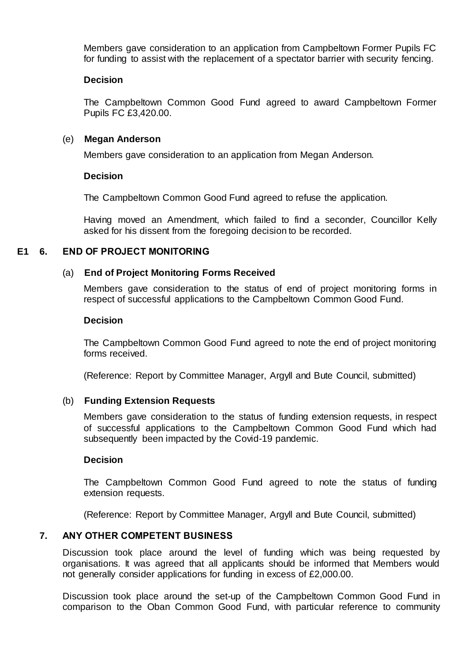Members gave consideration to an application from Campbeltown Former Pupils FC for funding to assist with the replacement of a spectator barrier with security fencing.

### **Decision**

The Campbeltown Common Good Fund agreed to award Campbeltown Former Pupils FC £3,420.00.

### (e) **Megan Anderson**

Members gave consideration to an application from Megan Anderson.

### **Decision**

The Campbeltown Common Good Fund agreed to refuse the application.

Having moved an Amendment, which failed to find a seconder, Councillor Kelly asked for his dissent from the foregoing decision to be recorded.

## **E1 6. END OF PROJECT MONITORING**

### (a) **End of Project Monitoring Forms Received**

Members gave consideration to the status of end of project monitoring forms in respect of successful applications to the Campbeltown Common Good Fund.

#### **Decision**

The Campbeltown Common Good Fund agreed to note the end of project monitoring forms received.

(Reference: Report by Committee Manager, Argyll and Bute Council, submitted)

#### (b) **Funding Extension Requests**

Members gave consideration to the status of funding extension requests, in respect of successful applications to the Campbeltown Common Good Fund which had subsequently been impacted by the Covid-19 pandemic.

### **Decision**

The Campbeltown Common Good Fund agreed to note the status of funding extension requests.

(Reference: Report by Committee Manager, Argyll and Bute Council, submitted)

## **7. ANY OTHER COMPETENT BUSINESS**

Discussion took place around the level of funding which was being requested by organisations. It was agreed that all applicants should be informed that Members would not generally consider applications for funding in excess of £2,000.00.

Discussion took place around the set-up of the Campbeltown Common Good Fund in comparison to the Oban Common Good Fund, with particular reference to community